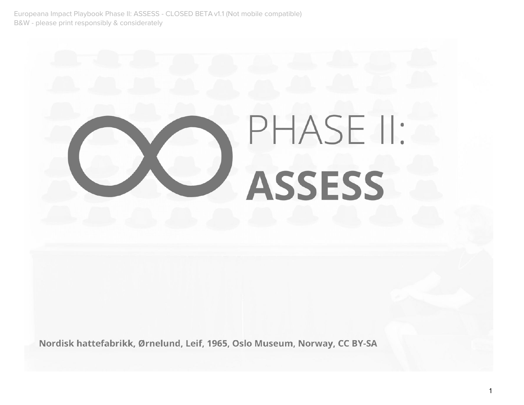# PHASE II: **ASSESS**

Nordisk hattefabrikk, Ørnelund, Leif, 1965, Oslo Museum, Norway, CC BY-SA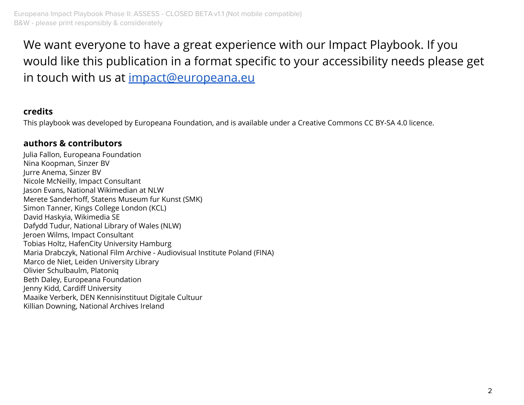We want everyone to have a great experience with our Impact Playbook. If you would like this publication in a format specific to your accessibility needs please get in touch with us at impact@europeana.eu

#### **credits**

This playbook was developed by Europeana Foundation, and is available under a Creative Commons CC BY-SA 4.0 licence.

#### **authors & contributors**

Julia Fallon, Europeana Foundation Nina Koopman, Sinzer BV Jurre Anema, Sinzer BV Nicole McNeilly, Impact Consultant Jason Evans, National Wikimedian at NLW Merete Sanderhoff, Statens Museum fur Kunst (SMK) Simon Tanner, Kings College London (KCL) David Haskyia, Wikimedia SE Dafydd Tudur, National Library of Wales (NLW) Jeroen Wilms, Impact Consultant Tobias Holtz, HafenCity University Hamburg Maria Drabczyk, National Film Archive - Audiovisual Institute Poland (FINA) Marco de Niet, Leiden University Library Olivier Schulbaulm, Platoniq Beth Daley, Europeana Foundation Jenny Kidd, Cardiff University Maaike Verberk, DEN Kennisinstituut Digitale Cultuur Killian Downing, National Archives Ireland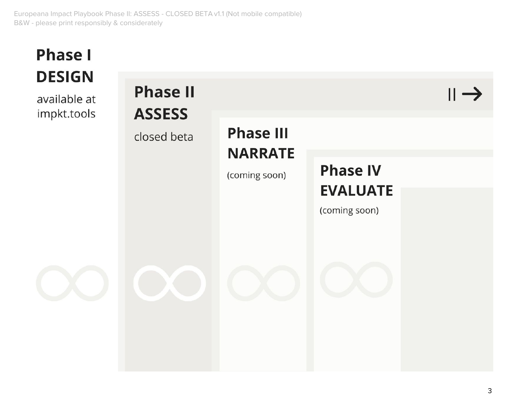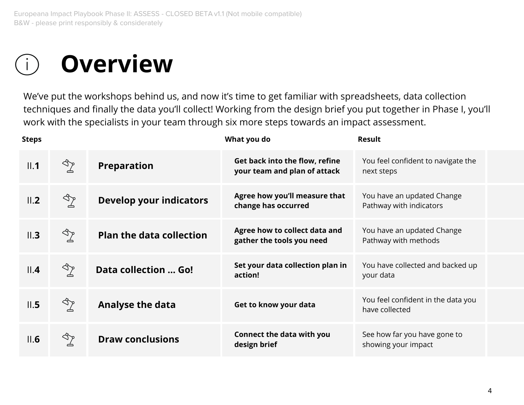### **Overview**

We've put the workshops behind us, and now it's time to get familiar with spreadsheets, data collection techniques and finally the data you'll collect! Working from the design brief you put together in Phase I, you'll work with the specialists in your team through six more steps towards an impact assessment.

| <b>Steps</b> |                    |                                 | What you do                                                    | <b>Result</b>                                         |
|--------------|--------------------|---------------------------------|----------------------------------------------------------------|-------------------------------------------------------|
| II.1         | ষ্টু               | <b>Preparation</b>              | Get back into the flow, refine<br>your team and plan of attack | You feel confident to navigate the<br>next steps      |
| II.2         | ⅋                  | <b>Develop your indicators</b>  | Agree how you'll measure that<br>change has occurred           | You have an updated Change<br>Pathway with indicators |
| II.3         | ⅋                  | <b>Plan the data collection</b> | Agree how to collect data and<br>gather the tools you need     | You have an updated Change<br>Pathway with methods    |
| II.4         | $\rightsquigarrow$ | <b>Data collection  Go!</b>     | Set your data collection plan in<br>action!                    | You have collected and backed up<br>your data         |
| II.5         | $\mathbb{Y}$       | Analyse the data                | Get to know your data                                          | You feel confident in the data you<br>have collected  |
| II.6         | 96                 | <b>Draw conclusions</b>         | <b>Connect the data with you</b><br>design brief               | See how far you have gone to<br>showing your impact   |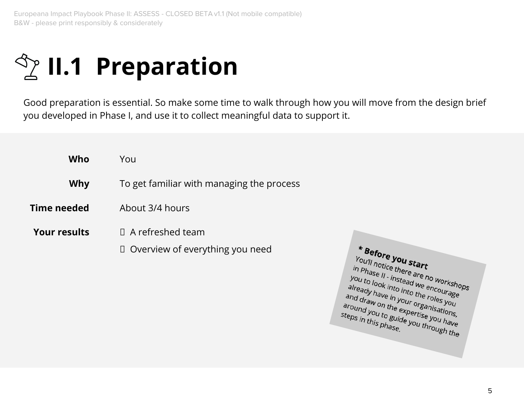**S<sub>2</sub> II.1 Preparation** 

Good preparation is essential. So make some time to walk through how you will move from the design brief you developed in Phase I, and use it to collect meaningful data to support it.

| Who                 | You                                                          |  |
|---------------------|--------------------------------------------------------------|--|
| Why                 | To get familiar with managing the process                    |  |
| Time needed         | About 3/4 hours                                              |  |
| <b>Your results</b> | $\Box$ A refreshed team<br>D Overview of everything you need |  |

\* Before you start<br>You'll notice there are **Before you start**<br>in phase II - there are no workshops<br>you to look into instead we encorreshops<br>andy have into the prourage Touril notice there are no workshop<br>you to look into are no workshop<br>already have into into the ricourage<br>already have in your the roles ve Thase II - instead we encourage<br>you to look into into the encourage<br>already have in your othe roles you<br>and draw on the experimentation you to look into into we encourage<br>already have in your organisations,<br>and draw on the expertisations,<br>around you to expertise you have<br>teps in this to guide you have aiready have in your organisations,<br>and draw on the expertise you<br>around you to expertise you have<br>steps in this phase. You through the and draw on the expertise you have<br>around you to guide you that steps in this phase. steps in this phase.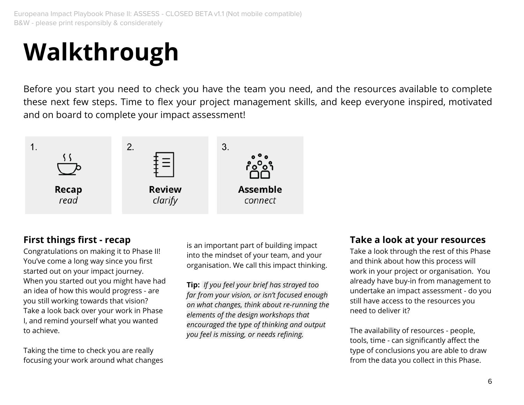### **Walkthrough**

Before you start you need to check you have the team you need, and the resources available to complete these next few steps. Time to flex your project management skills, and keep everyone inspired, motivated and on board to complete your impact assessment!



#### **First things first - recap**

Congratulations on making it to Phase II! You've come a long way since you first started out on your impact journey. When you started out you might have had an idea of how this would progress - are you still working towards that vision? Take a look back over your work in Phase I, and remind yourself what you wanted to achieve.

Taking the time to check you are really focusing your work around what changes is an important part of building impact into the mindset of your team, and your organisation. We call this impact thinking.

**Tip:** *If you feel your brief has strayed too far from your vision, or isn't focused enough on what changes, think about re-running the elements of the design workshops that encouraged the type of thinking and output you feel is missing, or needs refining.*

#### **Take a look at your resources**

Take a look through the rest of this Phase and think about how this process will work in your project or organisation. You already have buy-in from management to undertake an impact assessment - do you still have access to the resources you need to deliver it?

The availability of resources - people, tools, time - can significantly affect the type of conclusions you are able to draw from the data you collect in this Phase.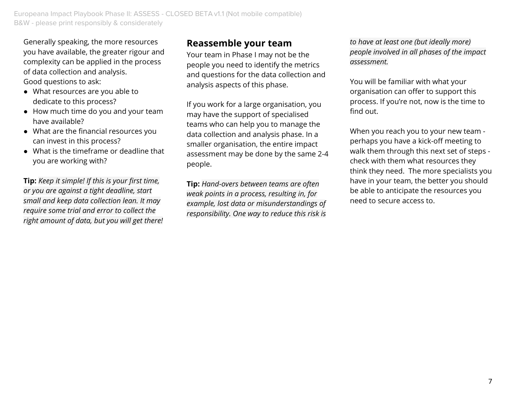Generally speaking, the more resources you have available, the greater rigour and complexity can be applied in the process of data collection and analysis. Good questions to ask:

- What resources are you able to dedicate to this process?
- How much time do you and your team have available?
- What are the financial resources you can invest in this process?
- What is the timeframe or deadline that you are working with?

**Tip:** *Keep it simple! If this is your first time, or you are against a tight deadline, start small and keep data collection lean. It may require some trial and error to collect the right amount of data, but you will get there!*

#### **Reassemble your team**

Your team in Phase I may not be the people you need to identify the metrics and questions for the data collection and analysis aspects of this phase.

If you work for a large organisation, you may have the support of specialised teams who can help you to manage the data collection and analysis phase. In a smaller organisation, the entire impact assessment may be done by the same 2-4 people.

**Tip:** *Hand-overs between teams are often weak points in a process, resulting in, for example, lost data or misunderstandings of responsibility. One way to reduce this risk is* *to have at least one (but ideally more) people involved in all phases of the impact assessment.*

You will be familiar with what your organisation can offer to support this process. If you're not, now is the time to find out.

When you reach you to your new team perhaps you have a kick-off meeting to walk them through this next set of steps check with them what resources they think they need. The more specialists you have in your team, the better you should be able to anticipate the resources you need to secure access to.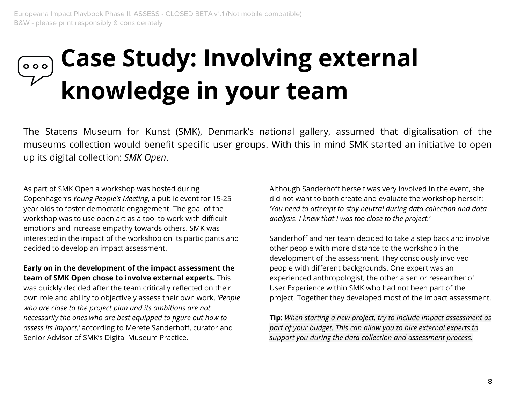### **Case Study: Involving external**  $000$ **knowledge in your team**

The Statens Museum for Kunst (SMK), Denmark's national gallery, assumed that digitalisation of the museums collection would benefit specific user groups. With this in mind SMK started an initiative to open up its digital collection: *SMK Open*.

As part of SMK Open a workshop was hosted during Copenhagen's *Young People's Meeting*, a public event for 15-25 year olds to foster democratic engagement. The goal of the workshop was to use open art as a tool to work with difficult emotions and increase empathy towards others. SMK was interested in the impact of the workshop on its participants and decided to develop an impact assessment.

**Early on in the development of the impact assessment the team of SMK Open chose to involve external experts.** This was quickly decided after the team critically reflected on their own role and ability to objectively assess their own work. *'People who are close to the project plan and its ambitions are not necessarily the ones who are best equipped to figure out how to assess its impact,'* according to Merete Sanderhoff, curator and Senior Advisor of SMK's Digital Museum Practice.

Although Sanderhoff herself was very involved in the event, she did not want to both create and evaluate the workshop herself: *'You need to attempt to stay neutral during data collection and data analysis. I knew that I was too close to the project.'*

Sanderhoff and her team decided to take a step back and involve other people with more distance to the workshop in the development of the assessment. They consciously involved people with different backgrounds. One expert was an experienced anthropologist, the other a senior researcher of User Experience within SMK who had not been part of the project. Together they developed most of the impact assessment.

**Tip:** *When starting a new project, try to include impact assessment as part of your budget. This can allow you to hire external experts to support you during the data collection and assessment process.*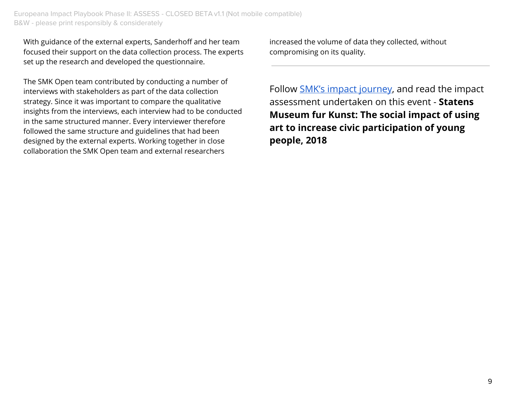With guidance of the external experts, Sanderhoff and her team focused their support on the data collection process. The experts set up the research and developed the questionnaire.

The SMK Open team contributed by conducting a number of interviews with stakeholders as part of the data collection strategy. Since it was important to compare the qualitative insights from the interviews, each interview had to be conducted in the same structured manner. Every interviewer therefore followed the same structure and guidelines that had been designed by the external experts. Working together in close collaboration the SMK Open team and external researchers

increased the volume of data they collected, without compromising on its quality.

Follow SMK's impact journey, and read the impact assessment undertaken on this event - **Statens Museum fur Kunst: The social impact of using art to increase civic participation of young people, 2018**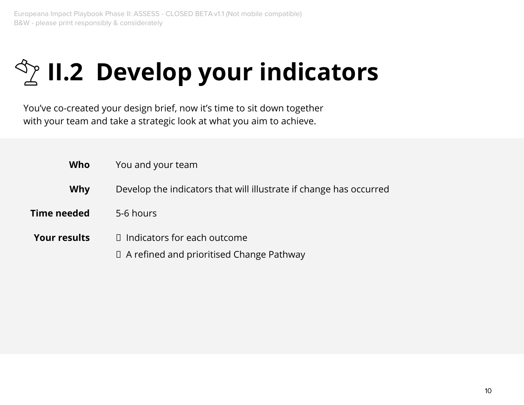# **S<sub>2</sub> II.2 Develop your indicators**

You've co-created your design brief, now it's time to sit down together with your team and take a strategic look at what you aim to achieve.

| Who                 | You and your team                                                                |  |
|---------------------|----------------------------------------------------------------------------------|--|
| Why                 | Develop the indicators that will illustrate if change has occurred               |  |
| Time needed         | 5-6 hours                                                                        |  |
| <b>Your results</b> | $\Box$ Indicators for each outcome<br>□ A refined and prioritised Change Pathway |  |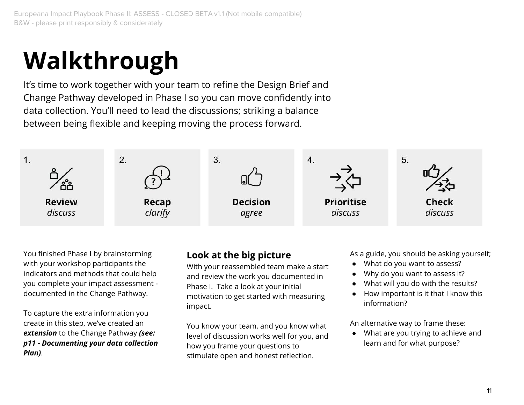### **Walkthrough**

It's time to work together with your team to refine the Design Brief and Change Pathway developed in Phase I so you can move confidently into data collection. You'll need to lead the discussions; striking a balance between being flexible and keeping moving the process forward.



You finished Phase I by brainstorming with your workshop participants the indicators and methods that could help you complete your impact assessment documented in the Change Pathway.

To capture the extra information you create in this step, we've created an *extension* to the Change Pathway *(see: p11 - Documenting your data collection Plan)*.

#### **Look at the big picture**

With your reassembled team make a start and review the work you documented in Phase I. Take a look at your initial motivation to get started with measuring impact.

You know your team, and you know what level of discussion works well for you, and how you frame your questions to stimulate open and honest reflection.

As a guide, you should be asking yourself;

- What do you want to assess?
- Why do you want to assess it?
- What will you do with the results?
- How important is it that I know this information?

An alternative way to frame these:

● What are you trying to achieve and learn and for what purpose?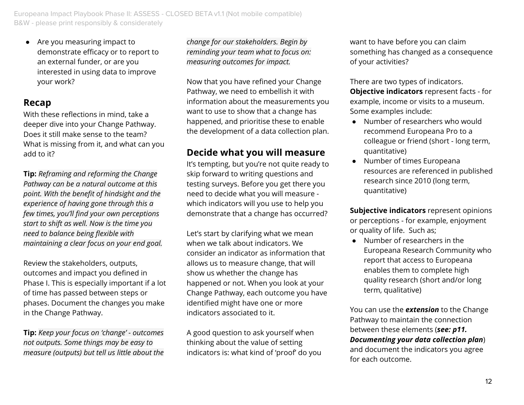● Are you measuring impact to demonstrate efficacy or to report to an external funder, or are you interested in using data to improve your work?

#### **Recap**

With these reflections in mind, take a deeper dive into your Change Pathway. Does it still make sense to the team? What is missing from it, and what can you add to it?

**Tip:** *Reframing and reforming the Change Pathway can be a natural outcome at this point. With the benefit of hindsight and the experience of having gone through this a few times, you'll find your own perceptions start to shift as well. Now is the time you need to balance being flexible with maintaining a clear focus on your end goal.*

Review the stakeholders, outputs, outcomes and impact you defined in Phase I. This is especially important if a lot of time has passed between steps or phases. Document the changes you make in the Change Pathway.

**Tip:** *Keep your focus on 'change' - outcomes not outputs. Some things may be easy to measure (outputs) but tell us little about the* *change for our stakeholders. Begin by reminding your team what to focus on: measuring outcomes for impact.*

Now that you have refined your Change Pathway, we need to embellish it with information about the measurements you want to use to show that a change has happened, and prioritise these to enable the development of a data collection plan.

#### **Decide what you will measure**

It's tempting, but you're not quite ready to skip forward to writing questions and testing surveys. Before you get there you need to decide what you will measure which indicators will you use to help you demonstrate that a change has occurred?

Let's start by clarifying what we mean when we talk about indicators. We consider an indicator as information that allows us to measure change, that will show us whether the change has happened or not. When you look at your Change Pathway, each outcome you have identified might have one or more indicators associated to it.

A good question to ask yourself when thinking about the value of setting indicators is: what kind of 'proof' do you want to have before you can claim something has changed as a consequence of your activities?

There are two types of indicators. **Objective indicators** represent facts - for example, income or visits to a museum. Some examples include:

- Number of researchers who would recommend Europeana Pro to a colleague or friend (short - long term, quantitative)
- Number of times Europeana resources are referenced in published research since 2010 (long term, quantitative)

**Subjective indicators** represent opinions or perceptions - for example, enjoyment or quality of life. Such as;

● Number of researchers in the Europeana Research Community who report that access to Europeana enables them to complete high quality research (short and/or long term, qualitative)

You can use the *extension* to the Change Pathway to maintain the connection between these elements (*see: p11. Documenting your data collection plan*) and document the indicators you agree for each outcome.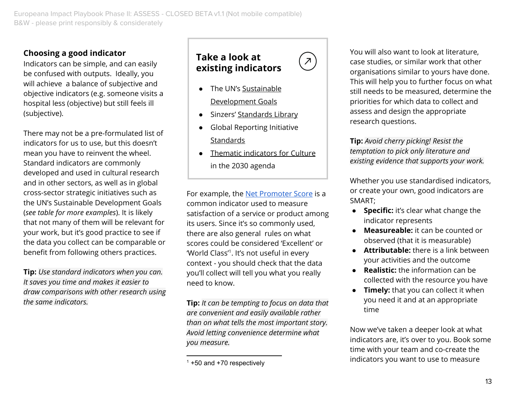#### **Choosing a good indicator**

Indicators can be simple, and can easily be confused with outputs. Ideally, you will achieve a balance of subjective and objective indicators (e.g. someone visits a hospital less (objective) but still feels ill (subjective).

There may not be a pre-formulated list of indicators for us to use, but this doesn't mean you have to reinvent the wheel. Standard indicators are commonly developed and used in cultural research and in other sectors, as well as in global cross-sector strategic initiatives such as the UN's Sustainable Development Goals (*see table for more examples*). It is likely that not many of them will be relevant for your work, but it's good practice to see if the data you collect can be comparable or benefit from following others practices.

**Tip:** *Use standard indicators when you can. It saves you time and makes it easier to draw comparisons with other research using the same indicators.*

**Take a look at existing indicators**

 $\overline{\mathcal{A}}$ 

- The UN's Sustainable Development Goals
- Sinzers' Standards Library
- **Global Reporting Initiative** Standards
- Thematic indicators for Culture in the 2030 agenda

For example, the Net Promoter Score is a common indicator used to measure satisfaction of a service or product among its users. Since it's so commonly used, there are also general rules on what scores could be considered 'Excellent' or 'World Class'<sup>1</sup>. It's not useful in every context - you should check that the data you'll collect will tell you what you really need to know.

**Tip:** *It can be tempting to focus on data that are convenient and easily available rather than on what tells the most important story. Avoid letting convenience determine what you measure.*

You will also want to look at literature, case studies, or similar work that other organisations similar to yours have done. This will help you to further focus on what still needs to be measured, determine the priorities for which data to collect and assess and design the appropriate research questions.

**Tip:** *Avoid cherry picking! Resist the temptation to pick only literature and existing evidence that supports your work.*

Whether you use standardised indicators, or create your own, good indicators are SMART;

- **● Specific:** it's clear what change the indicator represents
- **● Measureable:** it can be counted or observed (that it is measurable)
- **● Attributable:** there is a link between your activities and the outcome
- **● Realistic:** the information can be collected with the resource you have
- **● Timely:** that you can collect it when you need it and at an appropriate time

Now we've taken a deeper look at what indicators are, it's over to you. Book some time with your team and co-create the indicators you want to use to measure

 $1 + 50$  and  $+70$  respectively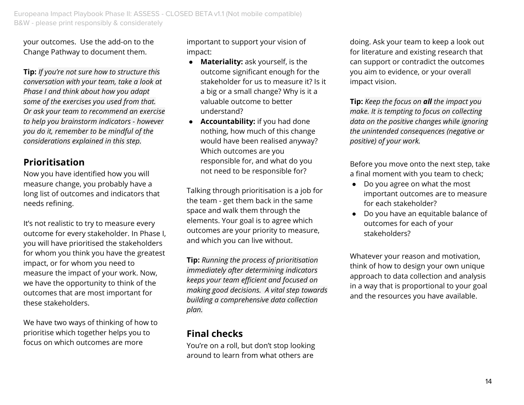your outcomes. Use the add-on to the Change Pathway to document them.

**Tip:** *If you're not sure how to structure this conversation with your team, take a look at Phase I and think about how you adapt some of the exercises you used from that. Or ask your team to recommend an exercise to help you brainstorm indicators - however you do it, remember to be mindful of the considerations explained in this step.*

#### **Prioritisation**

Now you have identified how you will measure change, you probably have a long list of outcomes and indicators that needs refining.

It's not realistic to try to measure every outcome for every stakeholder. In Phase I, you will have prioritised the stakeholders for whom you think you have the greatest impact, or for whom you need to measure the impact of your work. Now, we have the opportunity to think of the outcomes that are most important for these stakeholders.

We have two ways of thinking of how to prioritise which together helps you to focus on which outcomes are more

important to support your vision of impact:

- **● Materiality:** ask yourself, is the outcome significant enough for the stakeholder for us to measure it? Is it a big or a small change? Why is it a valuable outcome to better understand?
- **Accountability:** if you had done nothing, how much of this change would have been realised anyway? Which outcomes are you responsible for, and what do you not need to be responsible for?

Talking through prioritisation is a job for the team - get them back in the same space and walk them through the elements. Your goal is to agree which outcomes are your priority to measure, and which you can live without.

**Tip:** *Running the process of prioritisation immediately after determining indicators keeps your team efficient and focused on making good decisions. A vital step towards building a comprehensive data collection plan.*

#### **Final checks**

You're on a roll, but don't stop looking around to learn from what others are

doing. Ask your team to keep a look out for literature and existing research that can support or contradict the outcomes you aim to evidence, or your overall impact vision.

**Tip:** *Keep the focus on all the impact you make. It is tempting to focus on collecting data on the positive changes while ignoring the unintended consequences (negative or positive) of your work.*

Before you move onto the next step, take a final moment with you team to check;

- Do you agree on what the most important outcomes are to measure for each stakeholder?
- Do you have an equitable balance of outcomes for each of your stakeholders?

Whatever your reason and motivation, think of how to design your own unique approach to data collection and analysis in a way that is proportional to your goal and the resources you have available.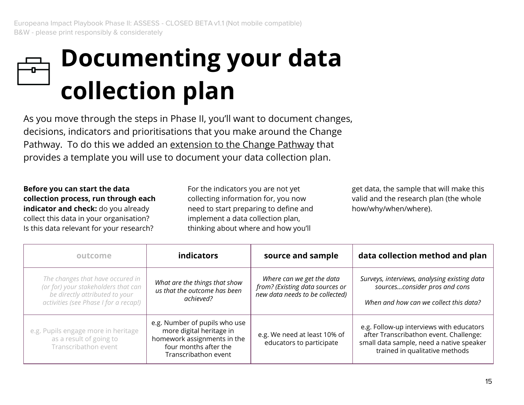## **Documenting your data collection plan**

As you move through the steps in Phase II, you'll want to document changes, decisions, indicators and prioritisations that you make around the Change Pathway. To do this we added an extension to the Change Pathway that provides a template you will use to document your data collection plan.

**Before you can start the data collection process, run through each indicator and check:** do you already collect this data in your organisation? Is this data relevant for your research?

For the indicators you are not yet collecting information for, you now need to start preparing to define and implement a data collection plan, thinking about where and how you'll

get data, the sample that will make this valid and the research plan (the whole how/why/when/where).

| outcome                                                                                                                                            | <b>indicators</b>                                                                                                                         | source and sample                                                                               | data collection method and plan                                                                                                                                  |
|----------------------------------------------------------------------------------------------------------------------------------------------------|-------------------------------------------------------------------------------------------------------------------------------------------|-------------------------------------------------------------------------------------------------|------------------------------------------------------------------------------------------------------------------------------------------------------------------|
| The changes that have occured in<br>(or for) your stakeholders that can<br>be directly attributed to your<br>activities (see Phase I for a recap!) | What are the things that show<br>us that the outcome has been<br>achieved?                                                                | Where can we get the data<br>from? (Existing data sources or<br>new data needs to be collected) | Surveys, interviews, analysing existing data<br>sourcesconsider pros and cons<br>When and how can we collect this data?                                          |
| e.g. Pupils engage more in heritage<br>as a result of going to<br>Transcribathon event                                                             | e.g. Number of pupils who use<br>more digital heritage in<br>homework assignments in the<br>four months after the<br>Transcribathon event | e.g. We need at least 10% of<br>educators to participate                                        | e.g. Follow-up interviews with educators<br>after Transcribathon event. Challenge:<br>small data sample, need a native speaker<br>trained in qualitative methods |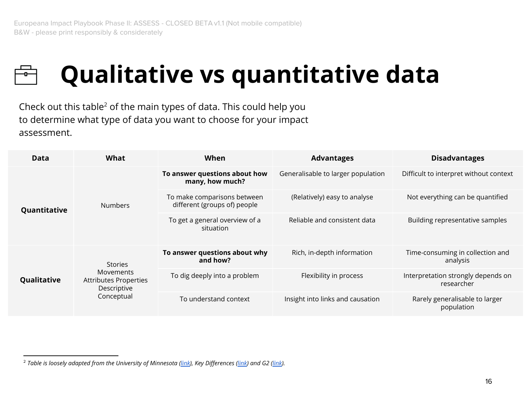

### **Qualitative vs quantitative data**

Check out this table<sup>2</sup> of the main types of data. This could help you to determine what type of data you want to choose for your impact assessment.

| <b>Data</b>  | What                                                                                            | When                                                        | <b>Advantages</b>                  | <b>Disadvantages</b>                             |
|--------------|-------------------------------------------------------------------------------------------------|-------------------------------------------------------------|------------------------------------|--------------------------------------------------|
|              | <b>Numbers</b>                                                                                  | To answer questions about how<br>many, how much?            | Generalisable to larger population | Difficult to interpret without context           |
| Quantitative |                                                                                                 | To make comparisons between<br>different (groups of) people | (Relatively) easy to analyse       | Not everything can be quantified                 |
|              |                                                                                                 | To get a general overview of a<br>situation                 | Reliable and consistent data       | Building representative samples                  |
| Qualitative  | <b>Stories</b><br><b>Movements</b><br><b>Attributes Properties</b><br>Descriptive<br>Conceptual | To answer questions about why<br>and how?                   | Rich, in-depth information         | Time-consuming in collection and<br>analysis     |
|              |                                                                                                 | To dig deeply into a problem                                | Flexibility in process             | Interpretation strongly depends on<br>researcher |
|              |                                                                                                 | To understand context                                       | Insight into links and causation   | Rarely generalisable to larger<br>population     |

<sup>2</sup> *Table is loosely adapted from the University of Minnesota (link), Key Differences (link) and G2 (link).*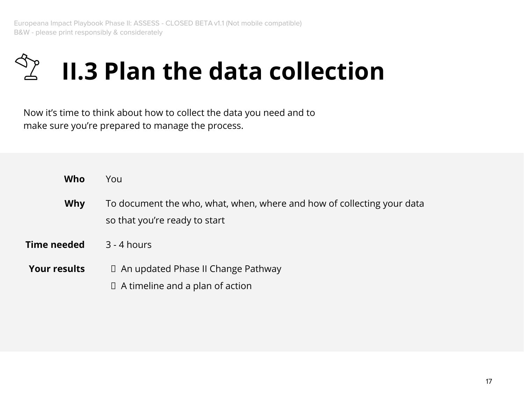

Now it's time to think about how to collect the data you need and to make sure you're prepared to manage the process.

| Who                 | You                                                                                                     |  |
|---------------------|---------------------------------------------------------------------------------------------------------|--|
| <b>Why</b>          | To document the who, what, when, where and how of collecting your data<br>so that you're ready to start |  |
| Time needed         | $3 - 4$ hours                                                                                           |  |
| <b>Your results</b> | $\Box$ An updated Phase II Change Pathway<br>$\Box$ A timeline and a plan of action                     |  |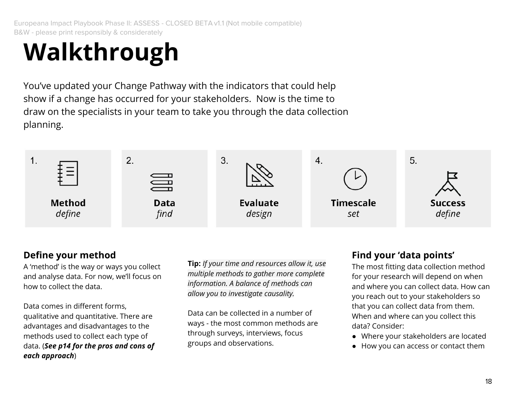### **Walkthrough**

You've updated your Change Pathway with the indicators that could help show if a change has occurred for your stakeholders. Now is the time to draw on the specialists in your team to take you through the data collection planning.



#### **Define your method**

A 'method' is the way or ways you collect and analyse data. For now, we'll focus on how to collect the data.

Data comes in different forms, qualitative and quantitative. There are advantages and disadvantages to the methods used to collect each type of data. (*See p14 for the pros and cons of each approach*)

**Tip:** *If your time and resources allow it, use multiple methods to gather more complete information. A balance of methods can allow you to investigate causality.*

Data can be collected in a number of ways - the most common methods are through surveys, interviews, focus groups and observations.

#### **Find your 'data points'**

The most fitting data collection method for your research will depend on when and where you can collect data. How can you reach out to your stakeholders so that you can collect data from them. When and where can you collect this data? Consider:

- Where your stakeholders are located
- How you can access or contact them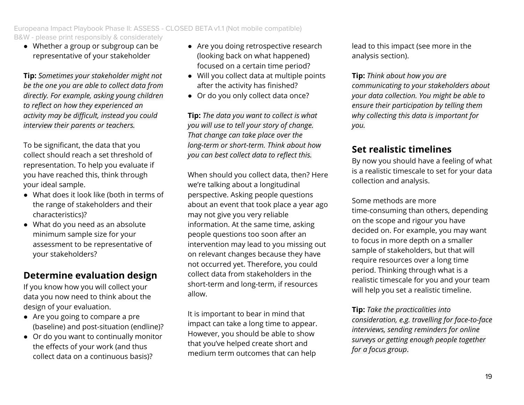● Whether a group or subgroup can be representative of your stakeholder

**Tip:** *Sometimes your stakeholder might not be the one you are able to collect data from directly. For example, asking young children to reflect on how they experienced an activity may be difficult, instead you could interview their parents or teachers.*

To be significant, the data that you collect should reach a set threshold of representation. To help you evaluate if you have reached this, think through your ideal sample.

- What does it look like (both in terms of the range of stakeholders and their characteristics)?
- What do you need as an absolute minimum sample size for your assessment to be representative of your stakeholders?

#### **Determine evaluation design**

If you know how you will collect your data you now need to think about the design of your evaluation.

- Are you going to compare a pre (baseline) and post-situation (endline)?
- Or do you want to continually monitor the effects of your work (and thus collect data on a continuous basis)?
- Are you doing retrospective research (looking back on what happened) focused on a certain time period?
- Will you collect data at multiple points after the activity has finished?
- Or do you only collect data once?

**Tip:** *The data you want to collect is what you will use to tell your story of change. That change can take place over the long-term or short-term. Think about how you can best collect data to reflect this.*

When should you collect data, then? Here we're talking about a longitudinal perspective. Asking people questions about an event that took place a year ago may not give you very reliable information. At the same time, asking people questions too soon after an intervention may lead to you missing out on relevant changes because they have not occurred yet. Therefore, you could collect data from stakeholders in the short-term and long-term, if resources allow.

It is important to bear in mind that impact can take a long time to appear. However, you should be able to show that you've helped create short and medium term outcomes that can help

lead to this impact (see more in the analysis section).

**Tip:** *Think about how you are communicating to your stakeholders about your data collection. You might be able to ensure their participation by telling them why collecting this data is important for you.*

#### **Set realistic timelines**

By now you should have a feeling of what is a realistic timescale to set for your data collection and analysis.

Some methods are more time-consuming than others, depending on the scope and rigour you have decided on. For example, you may want to focus in more depth on a smaller sample of stakeholders, but that will require resources over a long time period. Thinking through what is a realistic timescale for you and your team will help you set a realistic timeline.

**Tip:** *Take the practicalities into consideration, e.g. travelling for face-to-face interviews, sending reminders for online surveys or getting enough people together for a focus group*.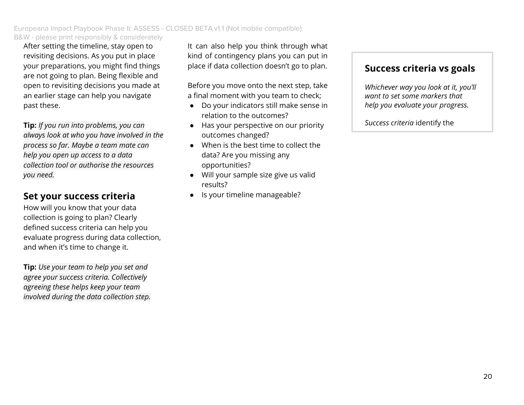After setting the timeline, stay open to revisiting decisions. As you put in place your preparations, you might find things are not going to plan. Being flexible and open to revisiting decisions you made at an earlier stage can help you navigate past these.

**Tip:** *If you run into problems, you can always look at who you have involved in the process so far. Maybe a team mate can help you open up access to a data collection tool or authorise the resources you need.*

#### **Set your success criteria**

How will you know that your data collection is going to plan? Clearly defined success criteria can help you evaluate progress during data collection, and when it's time to change it.

**Tip:** *Use your team to help you set and agree your success criteria. Collectively agreeing these helps keep your team involved during the data collection step.* It can also help you think through what kind of contingency plans you can put in place if data collection doesn't go to plan.

Before you move onto the next step, take a final moment with you team to check;

- Do your indicators still make sense in relation to the outcomes?
- Has your perspective on our priority outcomes changed?
- When is the best time to collect the data? Are you missing any opportunities?
- Will your sample size give us valid results?
- Is your timeline manageable?

#### **Success criteria vs goals**

*Whichever way you look at it, you'll want to set some markers that help you evaluate your progress.*

*Success criteria* identify the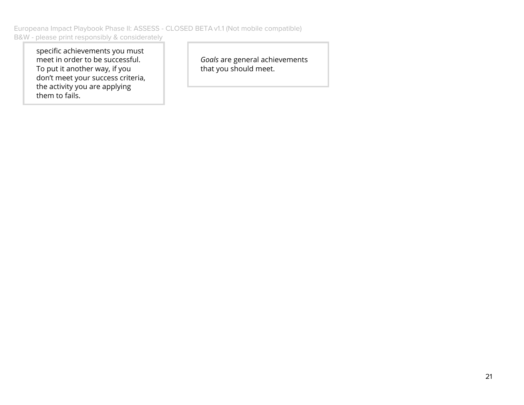specific achievements you must meet in order to be successful. To put it another way, if you don't meet your success criteria, the activity you are applying them to fails.

*Goals* are general achievements that you should meet.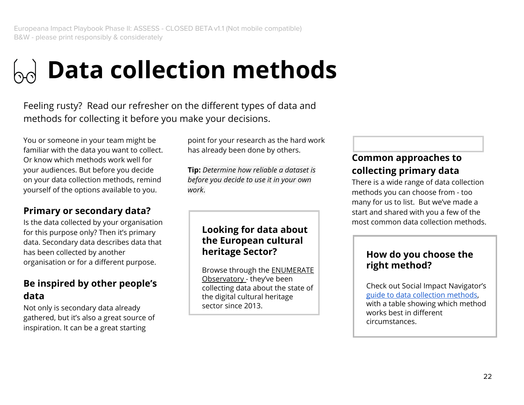### **Data collection methods**

Feeling rusty? Read our refresher on the different types of data and methods for collecting it before you make your decisions.

You or someone in your team might be familiar with the data you want to collect. Or know which methods work well for your audiences. But before you decide on your data collection methods, remind yourself of the options available to you.

#### **Primary or secondary data?**

Is the data collected by your organisation for this purpose only? Then it's primary data. Secondary data describes data that has been collected by another organisation or for a different purpose.

#### **Be inspired by other people's data**

Not only is secondary data already gathered, but it's also a great source of inspiration. It can be a great starting

point for your research as the hard work has already been done by others.

**Tip:** *Determine how reliable a dataset is before you decide to use it in your own work*.

#### **Looking for data about the European cultural heritage Sector?**

Browse through the ENUMERATE Observatory - they've been collecting data about the state of the digital cultural heritage sector since 2013.

#### **Common approaches to collecting primary data**

There is a wide range of data collection methods you can choose from - too many for us to list. But we've made a start and shared with you a few of the most common data collection methods.

#### **How do you choose the right method?**

Check out Social Impact Navigator's guide to data collection methods, with a table showing which method works best in different circumstances.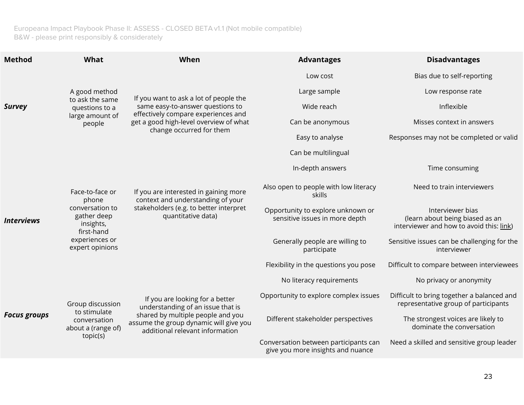| <b>Method</b>                   | <b>What</b>                                                                                                                | When                                                                                                                                                                                    | <b>Advantages</b>                                                          | <b>Disadvantages</b>                                                                            |
|---------------------------------|----------------------------------------------------------------------------------------------------------------------------|-----------------------------------------------------------------------------------------------------------------------------------------------------------------------------------------|----------------------------------------------------------------------------|-------------------------------------------------------------------------------------------------|
|                                 |                                                                                                                            |                                                                                                                                                                                         | Low cost                                                                   | Bias due to self-reporting                                                                      |
|                                 | A good method<br>to ask the same<br>questions to a                                                                         | If you want to ask a lot of people the<br>same easy-to-answer questions to<br>effectively compare experiences and<br>get a good high-level overview of what<br>change occurred for them | Large sample                                                               | Low response rate                                                                               |
| <b>Survey</b>                   |                                                                                                                            |                                                                                                                                                                                         | Wide reach                                                                 | Inflexible                                                                                      |
|                                 | large amount of<br>people                                                                                                  |                                                                                                                                                                                         | Can be anonymous                                                           | Misses context in answers                                                                       |
|                                 |                                                                                                                            |                                                                                                                                                                                         | Easy to analyse                                                            | Responses may not be completed or valid                                                         |
|                                 |                                                                                                                            |                                                                                                                                                                                         | Can be multilingual                                                        |                                                                                                 |
|                                 |                                                                                                                            |                                                                                                                                                                                         | In-depth answers                                                           | Time consuming                                                                                  |
|                                 | Face-to-face or<br>phone<br>conversation to<br>gather deep<br>insights,<br>first-hand<br>experiences or<br>expert opinions | If you are interested in gaining more<br>context and understanding of your<br>stakeholders (e.g. to better interpret<br>quantitative data)                                              | Also open to people with low literacy<br>skills                            | Need to train interviewers                                                                      |
| <i><u><b>Interviews</b></u></i> |                                                                                                                            |                                                                                                                                                                                         | Opportunity to explore unknown or<br>sensitive issues in more depth        | Interviewer bias<br>(learn about being biased as an<br>interviewer and how to avoid this: link) |
|                                 |                                                                                                                            |                                                                                                                                                                                         | Generally people are willing to<br>participate                             | Sensitive issues can be challenging for the<br>interviewer                                      |
|                                 |                                                                                                                            |                                                                                                                                                                                         | Flexibility in the questions you pose                                      | Difficult to compare between interviewees                                                       |
|                                 |                                                                                                                            |                                                                                                                                                                                         | No literacy requirements                                                   | No privacy or anonymity                                                                         |
|                                 | Group discussion<br>to stimulate<br>conversation<br>about a (range of)                                                     | If you are looking for a better<br>understanding of an issue that is<br>shared by multiple people and you<br>assume the group dynamic will give you<br>additional relevant information  | Opportunity to explore complex issues                                      | Difficult to bring together a balanced and<br>representative group of participants              |
| <b>Focus groups</b>             |                                                                                                                            |                                                                                                                                                                                         | Different stakeholder perspectives                                         | The strongest voices are likely to<br>dominate the conversation                                 |
|                                 | topic(s)                                                                                                                   |                                                                                                                                                                                         | Conversation between participants can<br>give you more insights and nuance | Need a skilled and sensitive group leader                                                       |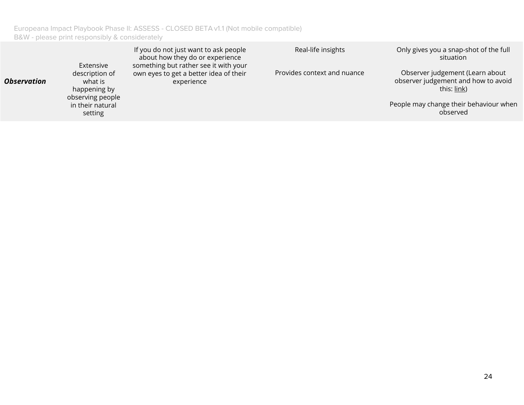|                    | Extensive                                                                                    | If you do not just want to ask people<br>about how they do or experience<br>something but rather see it with your | Real-life insights          | Only gives you a snap-shot of the full<br>situation                                                                                         |
|--------------------|----------------------------------------------------------------------------------------------|-------------------------------------------------------------------------------------------------------------------|-----------------------------|---------------------------------------------------------------------------------------------------------------------------------------------|
| <b>Observation</b> | description of<br>what is<br>happening by<br>observing people<br>in their natural<br>setting | own eyes to get a better idea of their<br>experience                                                              | Provides context and nuance | Observer judgement (Learn about<br>observer judgement and how to avoid<br>this: link)<br>People may change their behaviour when<br>observed |
|                    |                                                                                              |                                                                                                                   |                             |                                                                                                                                             |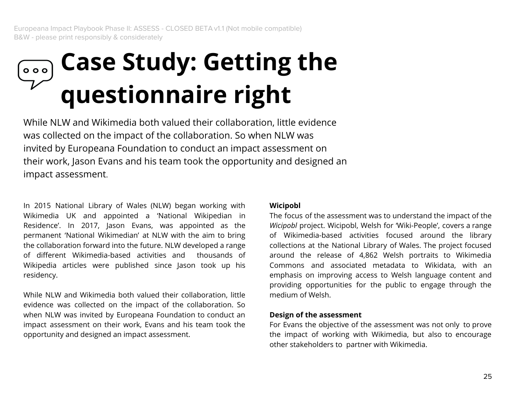### **Case Study: Getting the**  $\circ$   $\circ$   $\circ$ **questionnaire right**

While NLW and Wikimedia both valued their collaboration, little evidence was collected on the impact of the collaboration. So when NLW was invited by Europeana Foundation to conduct an impact assessment on their work, Jason Evans and his team took the opportunity and designed an impact assessment.

In 2015 National Library of Wales (NLW) began working with Wikimedia UK and appointed a 'National Wikipedian in Residence'. In 2017, Jason Evans, was appointed as the permanent 'National Wikimedian' at NLW with the aim to bring the collaboration forward into the future. NLW developed a range of different Wikimedia-based activities and thousands of Wikipedia articles were published since Jason took up his residency.

While NLW and Wikimedia both valued their collaboration, little evidence was collected on the impact of the collaboration. So when NLW was invited by Europeana Foundation to conduct an impact assessment on their work, Evans and his team took the opportunity and designed an impact assessment.

#### **Wicipobl**

The focus of the assessment was to understand the impact of the *Wicipobl* project. Wicipobl, Welsh for 'Wiki-People', covers a range of Wikimedia-based activities focused around the library collections at the National Library of Wales. The project focused around the release of 4,862 Welsh portraits to Wikimedia Commons and associated metadata to Wikidata, with an emphasis on improving access to Welsh language content and providing opportunities for the public to engage through the medium of Welsh.

#### **Design of the assessment**

For Evans the objective of the assessment was not only to prove the impact of working with Wikimedia, but also to encourage other stakeholders to partner with Wikimedia.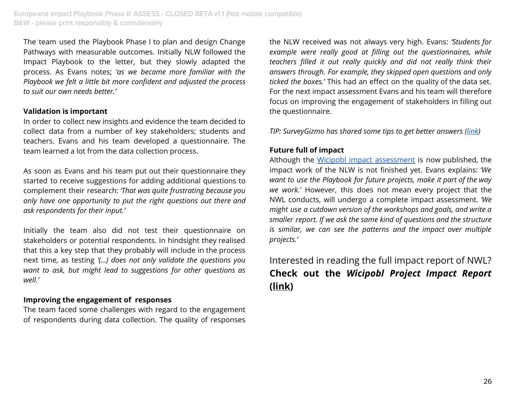The team used the Playbook Phase I to plan and design Change Pathways with measurable outcomes. Initially NLW followed the Impact Playbook to the letter, but they slowly adapted the process. As Evans notes; *'as we became more familiar with the Playbook we felt a little bit more confident and adjusted the process to suit our own needs better.'*

#### **Validation is important**

In order to collect new insights and evidence the team decided to collect data from a number of key stakeholders; students and teachers. Evans and his team developed a questionnaire. The team learned a lot from the data collection process.

As soon as Evans and his team put out their questionnaire they started to receive suggestions for adding additional questions to complement their research: *'That was quite frustrating because you only have one opportunity to put the right questions out there and ask respondents for their input.'*

Initially the team also did not test their questionnaire on stakeholders or potential respondents. In hindsight they realised that this a key step that they probably will include in the process next time, as testing *'(...) does not only validate the questions you want to ask, but might lead to suggestions for other questions as well.'*

#### **Improving the engagement of responses**

The team faced some challenges with regard to the engagement of respondents during data collection. The quality of responses the NLW received was not always very high. Evans: *'Students for example were really good at filling out the questionnaires, while teachers filled it out really quickly and did not really think their answers through. For example, they skipped open questions and only ticked the boxes.'* This had an effect on the quality of the data set. For the next impact assessment Evans and his team will therefore focus on improving the engagement of stakeholders in filling out the questionnaire.

*TIP: SurveyGizmo has shared some tips to get better answers (link)*

#### **Future full of impact**

Although the Wicipobl impact assessment is now published, the impact work of the NLW is not finished yet. Evans explains: *'We want to use the Playbook for future projects, make it part of the way we work.'* However, this does not mean every project that the NWL conducts, will undergo a complete impact assessment. *'We might use a cutdown version of the workshops and goals, and write a smaller report. If we ask the same kind of questions and the structure is similar, we can see the patterns and the impact over multiple projects.'*

Interested in reading the full impact report of NWL? **Check out the** *Wicipobl Project Impact Report* **(link)**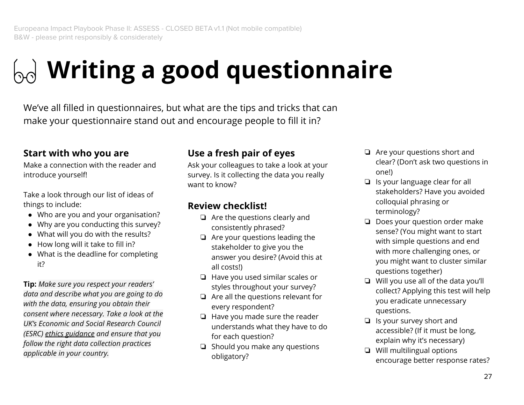## **Writing a good questionnaire**

We've all filled in questionnaires, but what are the tips and tricks that can make your questionnaire stand out and encourage people to fill it in?

#### **Start with who you are**

Make a connection with the reader and introduce yourself!

Take a look through our list of ideas of things to include:

- Who are you and your organisation?
- Why are you conducting this survey?
- What will you do with the results?
- How long will it take to fill in?
- What is the deadline for completing it?

**Tip:** *Make sure you respect your readers' data and describe what you are going to do with the data, ensuring you obtain their consent where necessary. Take a look at the UK's Economic and Social Research Council (ESRC) ethics guidance and ensure that you follow the right data collection practices applicable in your country.*

#### **Use a fresh pair of eyes**

Ask your colleagues to take a look at your survey. Is it collecting the data you really want to know?

#### **Review checklist!**

- ❏ Are the questions clearly and consistently phrased?
- ❏ Are your questions leading the stakeholder to give you the answer you desire? (Avoid this at all costs!)
- ❏ Have you used similar scales or styles throughout your survey?
- ❏ Are all the questions relevant for every respondent?
- ❏ Have you made sure the reader understands what they have to do for each question?
- ❏ Should you make any questions obligatory?
- ❏ Are your questions short and clear? (Don't ask two questions in one!)
- ❏ Is your language clear for all stakeholders? Have you avoided colloquial phrasing or terminology?
- ❏ Does your question order make sense? (You might want to start with simple questions and end with more challenging ones, or you might want to cluster similar questions together)
- ❏ Will you use all of the data you'll collect? Applying this test will help you eradicate unnecessary questions.
- ❏ Is your survey short and accessible? (If it must be long, explain why it's necessary)
- ❏ Will multilingual options encourage better response rates?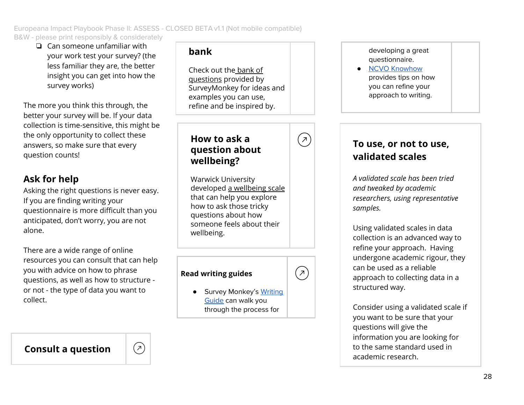❏ Can someone unfamiliar with your work test your survey? (the less familiar they are, the better insight you can get into how the survey works)

The more you think this through, the better your survey will be. If your data collection is time-sensitive, this might be the only opportunity to collect these answers, so make sure that every question counts!

#### **Ask for help**

Asking the right questions is never easy. If you are finding writing your questionnaire is more difficult than you anticipated, don't worry, you are not alone.

There are a wide range of online resources you can consult that can help you with advice on how to phrase questions, as well as how to structure or not - the type of data you want to collect.

#### **bank**

Check out the bank of questions provided by SurveyMonkey for ideas and examples you can use, refine and be inspired by.

 $\mathcal{L}(\mathbf{z})$ 

 $(\lambda)$ 

**How to ask a question about wellbeing?**

Warwick University developed a wellbeing scale that can help you explore how to ask those tricky questions about how someone feels about their wellbeing.

#### **Read writing guides**

Survey Monkey's Writing Guide can walk you through the process for

#### developing a great questionnaire.

● NCVO Knowhow provides tips on how you can refine your approach to writing.

#### **To use, or not to use, validated scales**

*A validated scale has been tried and tweaked by academic researchers, using representative samples.*

Using validated scales in data collection is an advanced way to refine your approach. Having undergone academic rigour, they can be used as a reliable approach to collecting data in a structured way.

Consider using a validated scale if you want to be sure that your questions will give the information you are looking for to the same standard used in academic research.

#### **Consult a question**

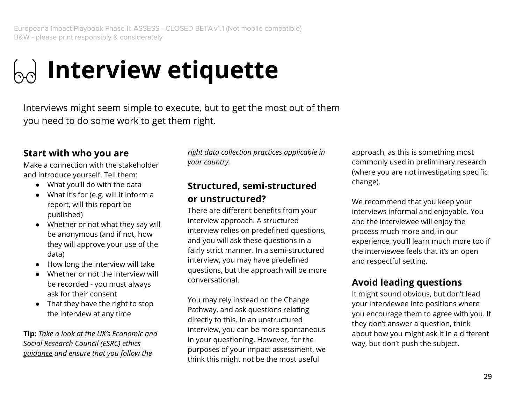### **Interview etiquette**

Interviews might seem simple to execute, but to get the most out of them you need to do some work to get them right.

#### **Start with who you are**

Make a connection with the stakeholder and introduce yourself. Tell them:

- What you'll do with the data
- What it's for (e.g. will it inform a report, will this report be published)
- Whether or not what they say will be anonymous (and if not, how they will approve your use of the data)
- How long the interview will take
- Whether or not the interview will be recorded - you must always ask for their consent
- That they have the right to stop the interview at any time

**Tip:** *Take a look at the UK's Economic and Social Research Council (ESRC) ethics guidance and ensure that you follow the*

*right data collection practices applicable in your country.*

#### **Structured, semi-structured or unstructured?**

There are different benefits from your interview approach. A structured interview relies on predefined questions, and you will ask these questions in a fairly strict manner. In a semi-structured interview, you may have predefined questions, but the approach will be more conversational.

You may rely instead on the Change Pathway, and ask questions relating directly to this. In an unstructured interview, you can be more spontaneous in your questioning. However, for the purposes of your impact assessment, we think this might not be the most useful

approach, as this is something most commonly used in preliminary research (where you are not investigating specific change).

We recommend that you keep your interviews informal and enjoyable. You and the interviewee will enjoy the process much more and, in our experience, you'll learn much more too if the interviewee feels that it's an open and respectful setting.

#### **Avoid leading questions**

It might sound obvious, but don't lead your interviewee into positions where you encourage them to agree with you. If they don't answer a question, think about how you might ask it in a different way, but don't push the subject.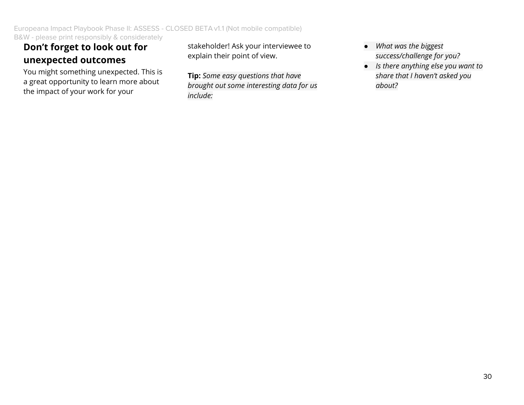#### **Don't forget to look out for unexpected outcomes**

You might something unexpected. This is a great opportunity to learn more about the impact of your work for your

stakeholder! Ask your interviewee to explain their point of view.

**Tip:** *Some easy questions that have brought out some interesting data for us include:*

- *● What was the biggest success/challenge for you?*
- *● Is there anything else you want to share that I haven't asked you about?*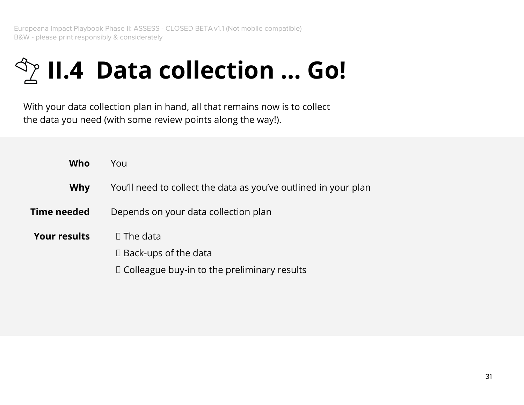### **Phillary II.4 Data collection ... Go!**

With your data collection plan in hand, all that remains now is to collect the data you need (with some review points along the way!).

| Who                 | You                                                             |
|---------------------|-----------------------------------------------------------------|
| Why                 | You'll need to collect the data as you've outlined in your plan |
| Time needed         | Depends on your data collection plan                            |
| <b>Your results</b> | $\Box$ The data                                                 |
|                     | $\Box$ Back-ups of the data                                     |
|                     | $\Box$ Colleague buy-in to the preliminary results              |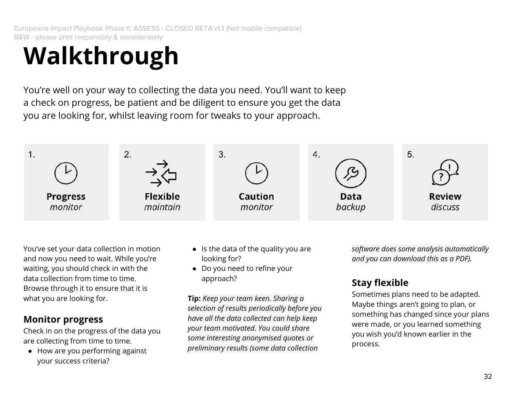### **Walkthrough**

You're well on your way to collecting the data you need. You'll want to keep a check on progress, be patient and be diligent to ensure you get the data you are looking for, whilst leaving room for tweaks to your approach.



You've set your data collection in motion and now you need to wait. While you're waiting, you should check in with the data collection from time to time. Browse through it to ensure that it is what you are looking for.

#### **Monitor progress**

Check in on the progress of the data you are collecting from time to time.

● How are you performing against your success criteria?

- Is the data of the quality you are looking for?
- Do you need to refine your approach?

**Tip:** *Keep your team keen. Sharing a selection of results periodically before you have all the data collected can help keep your team motivated. You could share some interesting anonymised quotes or preliminary results (some data collection*

*software does some analysis automatically and you can download this as a PDF).*

#### **Stay flexible**

Sometimes plans need to be adapted. Maybe things aren't going to plan, or something has changed since your plans were made, or you learned something you wish you'd known earlier in the process.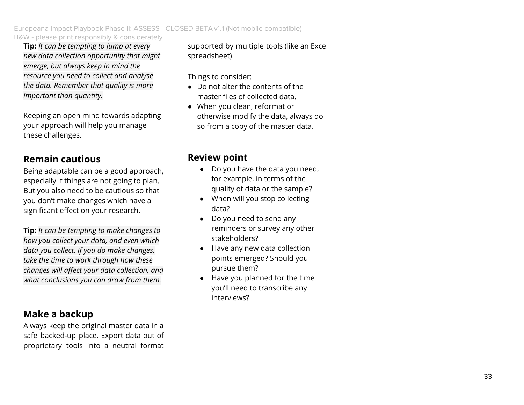**Tip:** It can be tempting to jump at every new data collection opportunity that might *e m e rg e, b u t a l w ays k e e p i n m in d th e* resource you need to collect and analyse the data. Remember that quality is more *important than quantity.* 

Keeping an open mind towards adapting your approach will help you manage these challenges.

#### **Remain cautious**

Being adaptable can be a good approach, especially if things are not going to plan. But you also need to be cautious so that you don't make changes which have a significant effect on your research.

**Tip:** *It can be tempting to make changes to how you collect your data, and even which data you collect. If you do make changes, take the time to work through how these changes will affect your data collection, and what conclusions you can draw from them.*

#### **Make a backup**

Always keep the original master data in a safe backed-up place. Export data out of proprietary tools into a neutral format

supported by multiple tools (like an Excel spreadsheet).

Things to consider:

- Do not alter the contents of the master files of collected data.
- When you clean, reformat or otherwise modify the data, always do so from a copy of the master data.

#### **Review point**

- Do you have the data you need, for example, in terms of the quality of data or the sample?
- When will you stop collecting data?
- Do you need to send any reminders or survey any other stakeholders?
- Have any new data collection points emerged? Should you pursue them?
- Have you planned for the time you'll need to transcribe any interviews?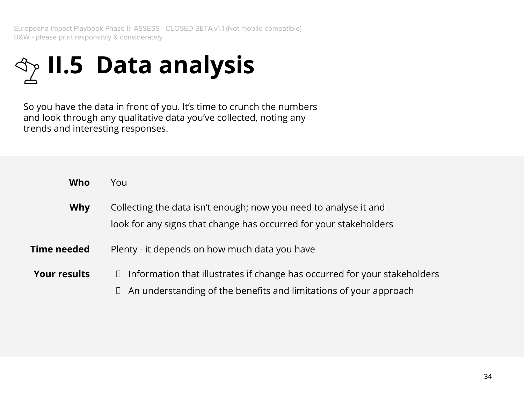## **II.5 Data analysis**

So you have the data in front of you. It's time to crunch the numbers and look through any qualitative data you've collected, noting any trends and interesting responses.

| Who                 | You                                                                                                                                                          |  |
|---------------------|--------------------------------------------------------------------------------------------------------------------------------------------------------------|--|
| Why                 | Collecting the data isn't enough; now you need to analyse it and<br>look for any signs that change has occurred for your stakeholders                        |  |
| Time needed         | Plenty - it depends on how much data you have                                                                                                                |  |
| <b>Your results</b> | $\Box$ Information that illustrates if change has occurred for your stakeholders<br>$\Box$ An understanding of the benefits and limitations of your approach |  |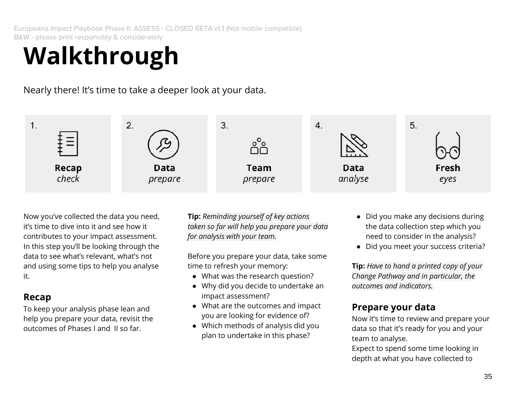### **Walkthrough**

Nearly there! It's time to take a deeper look at your data.



Now you've collected the data you need, it's time to dive into it and see how it contributes to your impact assessment. In this step you'll be looking through the data to see what's relevant, what's not and using some tips to help you analyse it.

#### **Recap**

To keep your analysis phase lean and help you prepare your data, revisit the outcomes of Phases I and II so far.

**Tip:** *Reminding yourself of key actions taken so far will help you prepare your data for analysis with your team.*

Before you prepare your data, take some time to refresh your memory:

- What was the research question?
- Why did you decide to undertake an impact assessment?
- What are the outcomes and impact you are looking for evidence of?
- Which methods of analysis did you plan to undertake in this phase?
- Did you make any decisions during the data collection step which you need to consider in the analysis?
- Did you meet your success criteria?

**Tip:** *Have to hand a printed copy of your Change Pathway and in particular, the outcomes and indicators.*

#### **Prepare your data**

Now it's time to review and prepare your data so that it's ready for you and your team to analyse.

Expect to spend some time looking in depth at what you have collected to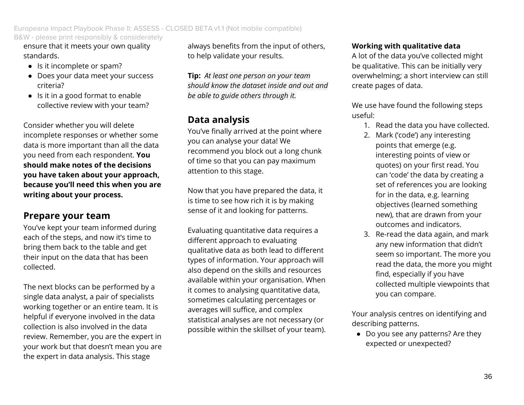ensure that it meets your own quality standards.

- Is it incomplete or spam?
- Does your data meet your success criteria?
- Is it in a good format to enable collective review with your team?

Consider whether you will delete incomplete responses or whether some data is more important than all the data you need from each respondent. **You should make notes of the decisions you have taken about your approach, because you'll need this when you are writing about your process.**

#### **Prepare your team**

You've kept your team informed during each of the steps, and now it's time to bring them back to the table and get their input on the data that has been collected.

The next blocks can be performed by a single data analyst, a pair of specialists working together or an entire team. It is helpful if everyone involved in the data collection is also involved in the data review. Remember, you are the expert in your work but that doesn't mean you are the expert in data analysis. This stage

always benefits from the input of others, to help validate your results.

**Tip:** *At least one person on your team should know the dataset inside and out and be able to guide others through it.*

#### **Data analysis**

You've finally arrived at the point where you can analyse your data! We recommend you block out a long chunk of time so that you can pay maximum attention to this stage.

Now that you have prepared the data, it is time to see how rich it is by making sense of it and looking for patterns.

Evaluating quantitative data requires a different approach to evaluating qualitative data as both lead to different types of information. Your approach will also depend on the skills and resources available within your organisation. When it comes to analysing quantitative data, sometimes calculating percentages or averages will suffice, and complex statistical analyses are not necessary (or possible within the skillset of your team).

#### **Working with qualitative data**

A lot of the data you've collected might be qualitative. This can be initially very overwhelming; a short interview can still create pages of data.

We use have found the following steps useful:

- 1. Read the data you have collected.
- 2. Mark ('code') any interesting points that emerge (e.g. interesting points of view or quotes) on your first read. You can 'code' the data by creating a set of references you are looking for in the data, e.g. learning objectives (learned something new), that are drawn from your outcomes and indicators.
- 3. Re-read the data again, and mark any new information that didn't seem so important. The more you read the data, the more you might find, especially if you have collected multiple viewpoints that you can compare.

Your analysis centres on identifying and describing patterns.

● Do you see any patterns? Are they expected or unexpected?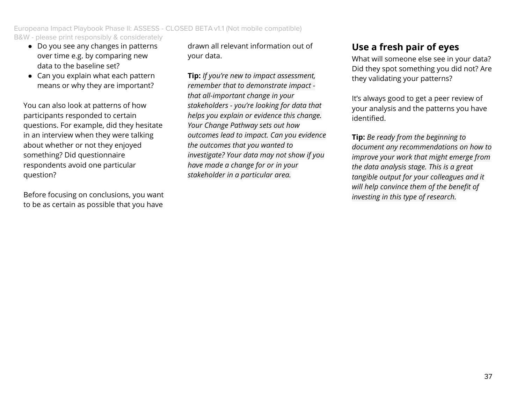- Do you see any changes in patterns over time e.g. by comparing new data to the baseline set?
- Can you explain what each pattern means or why they are important?

You can also look at patterns of how participants responded to certain questions. For example, did they hesitate in an interview when they were talking about whether or not they enjoyed something? Did questionnaire respondents avoid one particular question?

Before focusing on conclusions, you want to be as certain as possible that you have

drawn all relevant information out of your data.

**Tip:** *If you're new to impact assessment, remember that to demonstrate impact that all-important change in your stakeholders - you're looking for data that helps you explain or evidence this change. Your Change Pathway sets out how outcomes lead to impact. Can you evidence the outcomes that you wanted to investigate? Your data may not show if you have made a change for or in your stakeholder in a particular area.*

#### **Use a fresh pair of eyes**

What will someone else see in your data? Did they spot something you did not? Are they validating your patterns?

It's always good to get a peer review of your analysis and the patterns you have identified.

**Tip:** *Be ready from the beginning to document any recommendations on how to improve your work that might emerge from the data analysis stage. This is a great tangible output for your colleagues and it will help convince them of the benefit of investing in this type of research.*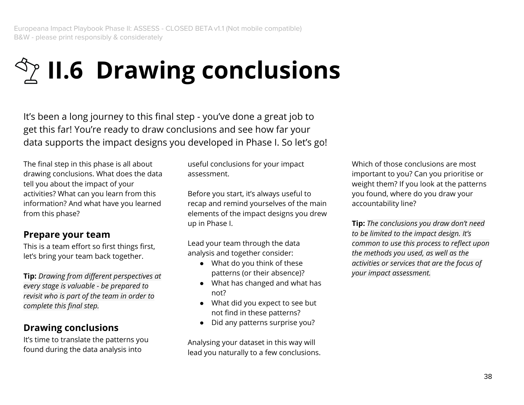### **II.6 Drawing conclusions**

It's been a long journey to this final step - you've done a great job to get this far! You're ready to draw conclusions and see how far your data supports the impact designs you developed in Phase I. So let's go!

The final step in this phase is all about drawing conclusions. What does the data tell you about the impact of your activities? What can you learn from this information? And what have you learned from this phase?

#### **Prepare your team**

This is a team effort so first things first, let's bring your team back together.

**Tip:** *Drawing from different perspectives at every stage is valuable - be prepared to revisit who is part of the team in order to complete this final step.*

#### **Drawing conclusions**

It's time to translate the patterns you found during the data analysis into

useful conclusions for your impact assessment.

Before you start, it's always useful to recap and remind yourselves of the main elements of the impact designs you drew up in Phase I.

Lead your team through the data analysis and together consider:

- What do you think of these patterns (or their absence)?
- What has changed and what has not?
- What did you expect to see but not find in these patterns?
- Did any patterns surprise you?

Analysing your dataset in this way will lead you naturally to a few conclusions.

Which of those conclusions are most important to you? Can you prioritise or weight them? If you look at the patterns you found, where do you draw your accountability line?

**Tip:** *The conclusions you draw don't need to be limited to the impact design. It's common to use this process to reflect upon the methods you used, as well as the activities or services that are the focus of your impact assessment.*